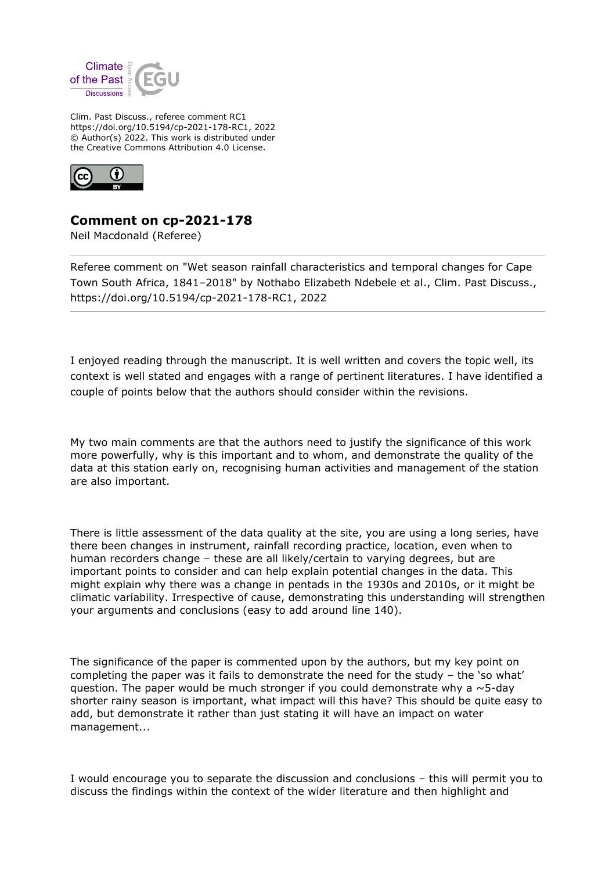

Clim. Past Discuss., referee comment RC1 https://doi.org/10.5194/cp-2021-178-RC1, 2022 © Author(s) 2022. This work is distributed under the Creative Commons Attribution 4.0 License.



**Comment on cp-2021-178**

Neil Macdonald (Referee)

Referee comment on "Wet season rainfall characteristics and temporal changes for Cape Town South Africa, 1841–2018" by Nothabo Elizabeth Ndebele et al., Clim. Past Discuss., https://doi.org/10.5194/cp-2021-178-RC1, 2022

I enjoyed reading through the manuscript. It is well written and covers the topic well, its context is well stated and engages with a range of pertinent literatures. I have identified a couple of points below that the authors should consider within the revisions.

My two main comments are that the authors need to justify the significance of this work more powerfully, why is this important and to whom, and demonstrate the quality of the data at this station early on, recognising human activities and management of the station are also important.

There is little assessment of the data quality at the site, you are using a long series, have there been changes in instrument, rainfall recording practice, location, even when to human recorders change – these are all likely/certain to varying degrees, but are important points to consider and can help explain potential changes in the data. This might explain why there was a change in pentads in the 1930s and 2010s, or it might be climatic variability. Irrespective of cause, demonstrating this understanding will strengthen your arguments and conclusions (easy to add around line 140).

The significance of the paper is commented upon by the authors, but my key point on completing the paper was it fails to demonstrate the need for the study – the 'so what' question. The paper would be much stronger if you could demonstrate why a  $\sim$  5-day shorter rainy season is important, what impact will this have? This should be quite easy to add, but demonstrate it rather than just stating it will have an impact on water management...

I would encourage you to separate the discussion and conclusions – this will permit you to discuss the findings within the context of the wider literature and then highlight and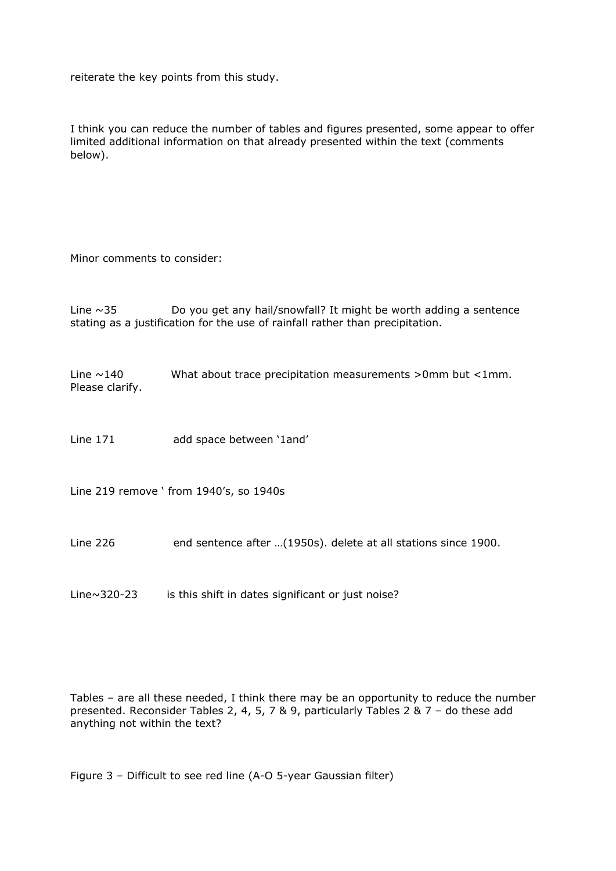reiterate the key points from this study.

I think you can reduce the number of tables and figures presented, some appear to offer limited additional information on that already presented within the text (comments below).

Minor comments to consider:

Line  $\sim$ 35 Do you get any hail/snowfall? It might be worth adding a sentence stating as a justification for the use of rainfall rather than precipitation.

Line  $\sim$  140 What about trace precipitation measurements >0mm but <1mm. Please clarify.

Line 171 add space between '1and'

Line 219 remove ' from 1940's, so 1940s

Line 226 end sentence after ...(1950s). delete at all stations since 1900.

Line~320-23 is this shift in dates significant or just noise?

Tables – are all these needed, I think there may be an opportunity to reduce the number presented. Reconsider Tables 2, 4, 5, 7 & 9, particularly Tables 2 & 7 – do these add anything not within the text?

Figure 3 – Difficult to see red line (A-O 5-year Gaussian filter)